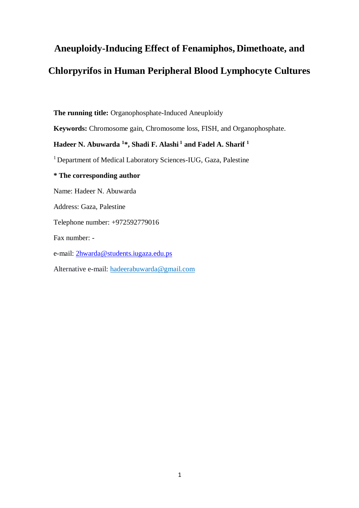# <span id="page-0-0"></span>**Aneuploidy-Inducing Effect of Fenamiphos, Dimethoate, and Chlorpyrifos in Human Peripheral Blood Lymphocyte Cultures**

**The running title:** Organophosphate-Induced Aneuploidy

**Keywords:** Chromosome gain, Chromosome loss, FISH, and Organophosphate.

# **Hadeer N. Abuwarda <sup>1</sup> \*, Shadi F. Alashi <sup>1</sup> and Fadel A. Sharif <sup>1</sup>**

<sup>1</sup> Department of Medical Laboratory Sciences-IUG, Gaza, Palestine

# **\* The corresponding author**

Name: Hadeer N. Abuwarda

Address: Gaza, Palestine

Telephone number: +972592779016

Fax number: -

e-mail: [2hwarda@students.iugaza.edu.ps](mailto:2hwarda@students.iugaza.edu.ps)

Alternative e-mail: [hadeerabuwarda@gmail.com](mailto:hadeerabuwarda@gmail.com)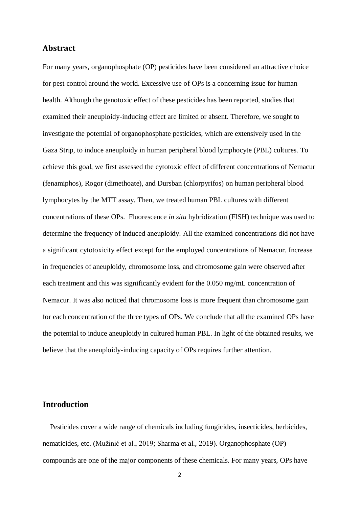# **Abstract**

For many years, organophosphate (OP) pesticides have been considered an attractive choice for pest control around the world. Excessive use of OPs is a concerning issue for human health. Although the genotoxic effect of these pesticides has been reported, studies that examined their aneuploidy-inducing effect are limited or absent. Therefore, we sought to investigate the potential of organophosphate pesticides, which are extensively used in the Gaza Strip, to induce aneuploidy in human peripheral blood lymphocyte (PBL) cultures. To achieve this goal, we first assessed the cytotoxic effect of different concentrations of Nemacur (fenamiphos), Rogor (dimethoate), and Dursban (chlorpyrifos) on human peripheral blood lymphocytes by the MTT assay. Then, we treated human PBL cultures with different concentrations of these OPs. Fluorescence *in situ* hybridization (FISH) technique was used to determine the frequency of induced aneuploidy. All the examined concentrations did not have a significant cytotoxicity effect except for the employed concentrations of Nemacur. Increase in frequencies of aneuploidy, chromosome loss, and chromosome gain were observed after each treatment and this was significantly evident for the 0.050 mg/mL concentration of Nemacur. It was also noticed that chromosome loss is more frequent than chromosome gain for each concentration of the three types of OPs. We conclude that all the examined OPs have the potential to induce aneuploidy in cultured human PBL. In light of the obtained results, we believe that the aneuploidy-inducing capacity of OPs requires further attention.

# **Introduction**

 Pesticides cover a wide range of chemicals including fungicides, insecticides, herbicides, nematicides, etc. [\(Mužinić et al., 2019;](#page-16-0) [Sharma et al., 2019\)](#page-16-1). Organophosphate (OP) compounds are one of the major components of these chemicals. For many years, OPs have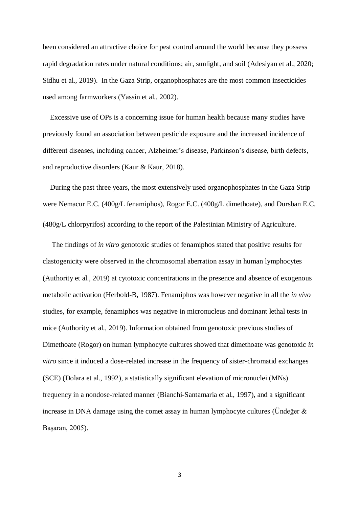been considered an attractive choice for pest control around the world because they possess rapid degradation rates under natural conditions; air, sunlight, and soil [\(Adesiyan et al., 2020;](#page-14-0) [Sidhu et al., 2019\)](#page-16-2). In the Gaza Strip, organophosphates are the most common insecticides used among farmworkers [\(Yassin et al., 2002\)](#page-17-0).

 Excessive use of OPs is a concerning issue for human health because many studies have previously found an association between pesticide exposure and the increased incidence of different diseases, including cancer, Alzheimer's disease, Parkinson's disease, birth defects, and reproductive disorders [\(Kaur & Kaur, 2018\)](#page-15-0).

 During the past three years, the most extensively used organophosphates in the Gaza Strip were Nemacur E.C. (400g/L fenamiphos), Rogor E.C. (400g/L dimethoate), and Dursban E.C. (480g/L chlorpyrifos) according to the report of the Palestinian Ministry of Agriculture.

 The findings of *in vitro* genotoxic studies of fenamiphos stated that positive results for clastogenicity were observed in the chromosomal aberration assay in human lymphocytes [\(Authority et al., 2019\)](#page-14-1) at cytotoxic concentrations in the presence and absence of exogenous metabolic activation [\(Herbold-B, 1987\)](#page-15-1). Fenamiphos was however negative in all the *in vivo* studies, for example, fenamiphos was negative in micronucleus and dominant lethal tests in mice [\(Authority et al., 2019\)](#page-14-1). Information obtained from genotoxic previous studies of Dimethoate (Rogor) on human lymphocyte cultures showed that dimethoate was genotoxic *in vitro* since it induced a dose-related increase in the frequency of sister-chromatid exchanges (SCE) [\(Dolara et al., 1992\)](#page-15-2), a statistically significant elevation of micronuclei (MNs) frequency in a nondose-related manner [\(Bianchi-Santamaria et al., 1997\)](#page-14-2), and a significant increase in DNA damage using the comet assay in human lymphocyte cultures [\(Ündeğer &](#page-16-3)  [Başaran, 2005\)](#page-16-3).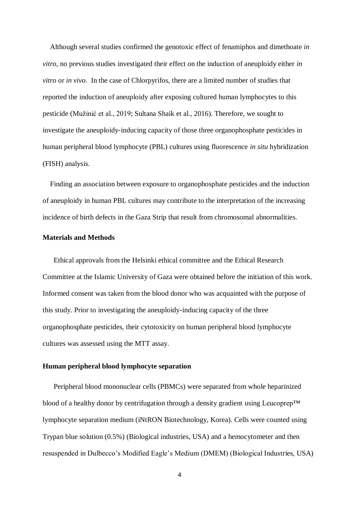Although several studies confirmed the genotoxic effect of fenamiphos and dimethoate *in vitro*, no previous studies investigated their effect on the induction of aneuploidy either *in vitro* or *in vivo*. In the case of Chlorpyrifos, there are a limited number of studies that reported the induction of aneuploidy after exposing cultured human lymphocytes to this pesticide [\(Mužinić et al., 2019;](#page-16-0) [Sultana Shaik et al., 2016\)](#page-16-4). Therefore, we sought to investigate the aneuploidy-inducing capacity of those three organophosphate pesticides in human peripheral blood lymphocyte (PBL) cultures using fluorescence *in situ* hybridization (FISH) analysis.

 Finding an association between exposure to organophosphate pesticides and the induction of aneuploidy in human PBL cultures may contribute to the interpretation of the increasing incidence of birth defects in the Gaza Strip that result from chromosomal abnormalities.

## **Materials and Methods**

 Ethical approvals from the Helsinki ethical committee and the Ethical Research Committee at the Islamic University of Gaza were obtained before the initiation of this work. Informed consent was taken from the blood donor who was acquainted with the purpose of this study. Prior to investigating the aneuploidy-inducing capacity of the three organophosphate pesticides, their cytotoxicity on human peripheral blood lymphocyte cultures was assessed using the MTT assay.

# **Human peripheral blood lymphocyte separation**

 Peripheral blood mononuclear cells (PBMCs) were separated from whole heparinized blood of a healthy donor by centrifugation through a density gradient using Leucoprep™ lymphocyte separation medium (iNtRON Biotechnology, Korea). Cells were counted using Trypan blue solution (0.5%) (Biological industries, USA) and a hemocytometer and then resuspended in Dulbecco's Modified Eagle's Medium (DMEM) (Biological Industries, USA)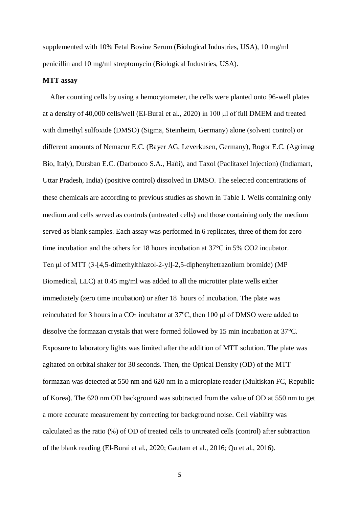supplemented with 10% Fetal Bovine Serum (Biological Industries, USA), 10 mg/ml penicillin and 10 mg/ml streptomycin (Biological Industries, USA).

#### **MTT assay**

 After counting cells by using a hemocytometer, the cells were planted onto 96-well plates at a density of 40,000 cells/well [\(El-Burai et al., 2020\)](#page-15-3) in 100 μl of full DMEM and treated with dimethyl sulfoxide (DMSO) (Sigma, Steinheim, Germany) alone (solvent control) or different amounts of Nemacur E.C. (Bayer AG, Leverkusen, Germany), Rogor E.C. (Agrimag Bio, Italy), Dursban E.C. (Darbouco S.A., Haïti), and Taxol (Paclitaxel Injection) (Indiamart, Uttar Pradesh, India) (positive control) dissolved in DMSO. The selected concentrations of these chemicals are according to previous studies as shown in Table I. Wells containing only medium and cells served as controls (untreated cells) and those containing only the medium served as blank samples. Each assay was performed in 6 replicates, three of them for zero time incubation and the others for 18 hours incubation at 37°C in 5% CO2 incubator. Ten μl of MTT (3-[4,5-dimethylthiazol-2-yl]-2,5-diphenyltetrazolium bromide) (MP Biomedical, LLC) at 0.45 mg/ml was added to all the microtiter plate wells either immediately (zero time incubation) or after 18 hours of incubation. The plate was reincubated for 3 hours in a  $CO<sub>2</sub>$  incubator at 37 $\degree$ C, then 100 μl of DMSO were added to dissolve the formazan crystals that were formed followed by 15 min incubation at 37°C. Exposure to laboratory lights was limited after the addition of MTT solution. The plate was agitated on orbital shaker for 30 seconds. Then, the Optical Density (OD) of the MTT formazan was detected at 550 nm and 620 nm in a microplate reader (Multiskan FC, Republic of Korea). The 620 nm OD background was subtracted from the value of OD at 550 nm to get a more accurate measurement by correcting for background noise. Cell viability was calculated as the ratio (%) of OD of treated cells to untreated cells (control) after subtraction of the blank reading [\(El-Burai et al., 2020;](#page-15-3) [Gautam et al., 2016;](#page-15-4) [Qu et al., 2016\)](#page-16-5).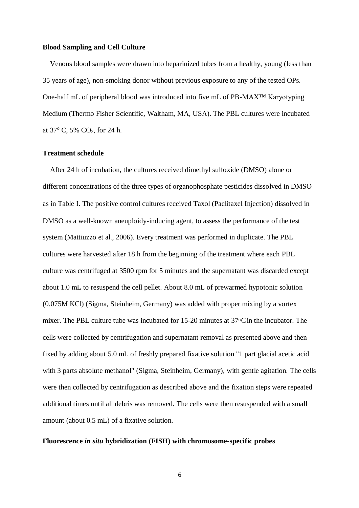#### **Blood Sampling and Cell Culture**

 Venous blood samples were drawn into heparinized tubes from a healthy, young (less than 35 years of age), non-smoking donor without previous exposure to any of the tested OPs. One-half mL of peripheral blood was introduced into five mL of PB-MAX™ Karyotyping Medium (Thermo Fisher Scientific, Waltham, MA, USA). The PBL cultures were incubated at  $37^{\circ}$  C,  $5\%$  CO<sub>2</sub>, for 24 h.

## **Treatment schedule**

 After 24 h of incubation, the cultures received dimethyl sulfoxide (DMSO) alone or different concentrations of the three types of organophosphate pesticides dissolved in DMSO as in Table I. The positive control cultures received Taxol (Paclitaxel Injection) dissolved in DMSO as a well-known aneuploidy-inducing agent, to assess the performance of the test system [\(Mattiuzzo et al., 2006\)](#page-16-6). Every treatment was performed in duplicate. The PBL cultures were harvested after 18 h from the beginning of the treatment where each PBL culture was centrifuged at 3500 rpm for 5 minutes and the supernatant was discarded except about 1.0 mL to resuspend the cell pellet. About 8.0 mL of prewarmed hypotonic solution (0.075M KCl) (Sigma, Steinheim, Germany) was added with proper mixing by a vortex mixer. The PBL culture tube was incubated for  $15{\text -}20$  minutes at  $37^{\circ}$ C in the incubator. The cells were collected by centrifugation and supernatant removal as presented above and then fixed by adding about 5.0 mL of freshly prepared fixative solution "1 part glacial acetic acid with 3 parts absolute methanol" (Sigma, Steinheim, Germany), with gentle agitation. The cells were then collected by centrifugation as described above and the fixation steps were repeated additional times until all debris was removed. The cells were then resuspended with a small amount (about 0.5 mL) of a fixative solution.

#### **Fluorescence** *in situ* **hybridization (FISH) with chromosome-specific probes**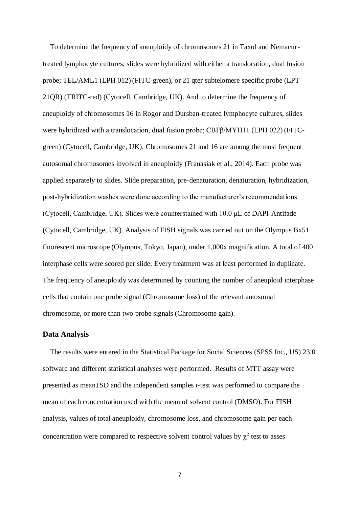To determine the frequency of aneuploidy of chromosomes 21 in Taxol and Nemacurtreated lymphocyte cultures; slides were hybridized with either a translocation, dual fusion probe; TEL/AML1 (LPH 012) (FITC-green), or 21 qter subtelomere specific probe (LPT 21QR) (TRITC-red) (Cytocell, Cambridge, UK). And to determine the frequency of aneuploidy of chromosomes 16 in Rogor and Dursban-treated lymphocyte cultures, slides were hybridized with a translocation, dual fusion probe; CBFβ/MYH11 (LPH 022) (FITCgreen) (Cytocell, Cambridge, UK). Chromosomes 21 and 16 are among the most frequent autosomal chromosomes involved in aneuploidy [\(Franasiak et al., 2014\)](#page-15-5). Each probe was applied separately to slides. Slide preparation, pre-denaturation, denaturation, hybridization, post-hybridization washes were done according to the manufacturer's recommendations (Cytocell, Cambridge, UK). Slides were counterstained with 10.0 μL of DAPI-Antifade (Cytocell, Cambridge, UK). Analysis of FISH signals was carried out on the Olympus Bx51 fluorescent microscope (Olympus, Tokyo, Japan), under 1,000x magnification. A total of 400 interphase cells were scored per slide. Every treatment was at least performed in duplicate. The frequency of aneuploidy was determined by counting the number of aneuploid interphase cells that contain one probe signal (Chromosome loss) of the relevant autosomal chromosome, or more than two probe signals (Chromosome gain).

## **Data Analysis**

 The results were entered in the Statistical Package for Social Sciences (SPSS Inc., US) 23.0 software and different statistical analyses were performed. Results of MTT assay were presented as mean±SD and the independent samples *t*-test was performed to compare the mean of each concentration used with the mean of solvent control (DMSO). For FISH analysis, values of total aneuploidy, chromosome loss, and chromosome gain per each concentration were compared to respective solvent control values by  $\chi^2$  test to asses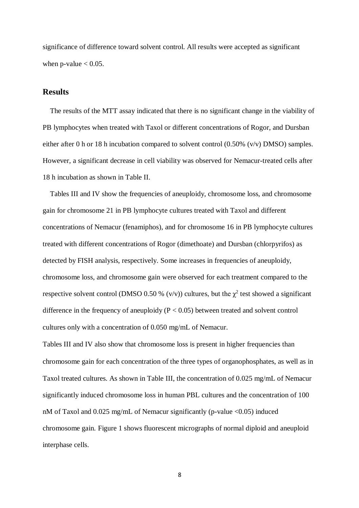significance of difference toward solvent control. All results were accepted as significant when p-value  $< 0.05$ .

# **[Results](#page-0-0)**

 The results of the MTT assay indicated that there is no significant change in the viability of PB lymphocytes when treated with Taxol or different concentrations of Rogor, and Dursban either after 0 h or 18 h incubation compared to solvent control  $(0.50\%$  (v/v) DMSO) samples. However, a significant decrease in cell viability was observed for Nemacur-treated cells after 18 h incubation as shown in Table II.

 Tables III and IV show the frequencies of aneuploidy, chromosome loss, and chromosome gain for chromosome 21 in PB lymphocyte cultures treated with Taxol and different concentrations of Nemacur (fenamiphos), and for chromosome 16 in PB lymphocyte cultures treated with different concentrations of Rogor (dimethoate) and Dursban (chlorpyrifos) as detected by FISH analysis, respectively. Some increases in frequencies of aneuploidy, chromosome loss, and chromosome gain were observed for each treatment compared to the respective solvent control (DMSO 0.50 %  $(v/v)$ ) cultures, but the  $\chi^2$  test showed a significant difference in the frequency of aneuploidy  $(P < 0.05)$  between treated and solvent control cultures only with a concentration of 0.050 mg/mL of Nemacur.

Tables III and IV also show that chromosome loss is present in higher frequencies than chromosome gain for each concentration of the three types of organophosphates, as well as in Taxol treated cultures. As shown in Table III, the concentration of 0.025 mg/mL of Nemacur significantly induced chromosome loss in human PBL cultures and the concentration of 100 nM of Taxol and 0.025 mg/mL of Nemacur significantly (p-value <0.05) induced chromosome gain. Figure 1 shows fluorescent micrographs of normal diploid and aneuploid interphase cells.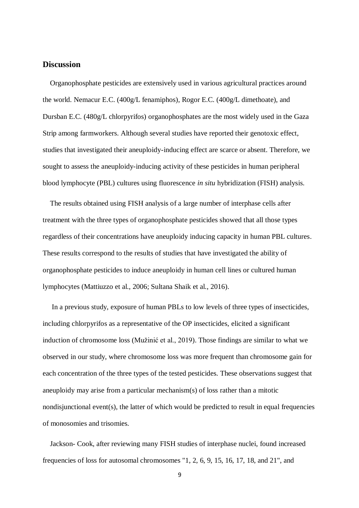# **Discussion**

 Organophosphate pesticides are extensively used in various agricultural practices around the world. Nemacur E.C. (400g/L fenamiphos), Rogor E.C. (400g/L dimethoate), and Dursban E.C. (480g/L chlorpyrifos) organophosphates are the most widely used in the Gaza Strip among farmworkers. Although several studies have reported their genotoxic effect, studies that investigated their aneuploidy-inducing effect are scarce or absent. Therefore, we sought to assess the aneuploidy-inducing activity of these pesticides in human peripheral blood lymphocyte (PBL) cultures using fluorescence *in situ* hybridization (FISH) analysis.

 The results obtained using FISH analysis of a large number of interphase cells after treatment with the three types of organophosphate pesticides showed that all those types regardless of their concentrations have aneuploidy inducing capacity in human PBL cultures. These results correspond to the results of studies that have investigated the ability of organophosphate pesticides to induce aneuploidy in human cell lines or cultured human lymphocytes [\(Mattiuzzo et al., 2006;](#page-16-6) [Sultana Shaik et al., 2016\)](#page-16-4).

 In a previous study, exposure of human PBLs to low levels of three types of insecticides, including chlorpyrifos as a representative of the OP insecticides, elicited a significant induction of chromosome loss [\(Mužinić et al., 2019\)](#page-16-0). Those findings are similar to what we observed in our study, where chromosome loss was more frequent than chromosome gain for each concentration of the three types of the tested pesticides. These observations suggest that aneuploidy may arise from a particular mechanism(s) of loss rather than a mitotic nondisjunctional event(s), the latter of which would be predicted to result in equal frequencies of monosomies and trisomies.

 Jackson- Cook, after reviewing many FISH studies of interphase nuclei, found increased frequencies of loss for autosomal chromosomes "1, 2, 6, 9, 15, 16, 17, 18, and 21", and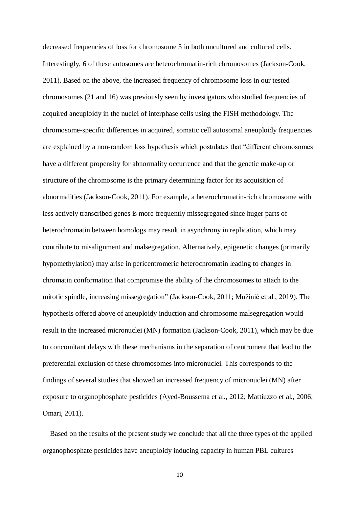decreased frequencies of loss for chromosome 3 in both uncultured and cultured cells. Interestingly, 6 of these autosomes are heterochromatin-rich chromosomes [\(Jackson-Cook,](#page-15-6)  [2011\)](#page-15-6). Based on the above, the increased frequency of chromosome loss in our tested chromosomes (21 and 16) was previously seen by investigators who studied frequencies of acquired aneuploidy in the nuclei of interphase cells using the FISH methodology. The chromosome-specific differences in acquired, somatic cell autosomal aneuploidy frequencies are explained by a non-random loss hypothesis which postulates that "different chromosomes have a different propensity for abnormality occurrence and that the genetic make-up or structure of the chromosome is the primary determining factor for its acquisition of abnormalities [\(Jackson-Cook, 2011\)](#page-15-6). For example, a heterochromatin-rich chromosome with less actively transcribed genes is more frequently missegregated since huger parts of heterochromatin between homologs may result in asynchrony in replication, which may contribute to misalignment and malsegregation. Alternatively, epigenetic changes (primarily hypomethylation) may arise in pericentromeric heterochromatin leading to changes in chromatin conformation that compromise the ability of the chromosomes to attach to the mitotic spindle, increasing missegregation" [\(Jackson-Cook, 2011;](#page-15-6) [Mužinić et al., 2019\)](#page-16-0). The hypothesis offered above of aneuploidy induction and chromosome malsegregation would result in the increased micronuclei (MN) formation [\(Jackson-Cook, 2011\)](#page-15-6), which may be due to concomitant delays with these mechanisms in the separation of centromere that lead to the preferential exclusion of these chromosomes into micronuclei. This corresponds to the findings of several studies that showed an increased frequency of micronuclei (MN) after exposure to organophosphate pesticides [\(Ayed-Boussema et al., 2012;](#page-14-3) [Mattiuzzo et al., 2006;](#page-16-6) [Omari, 2011\)](#page-16-7).

 Based on the results of the present study we conclude that all the three types of the applied organophosphate pesticides have aneuploidy inducing capacity in human PBL cultures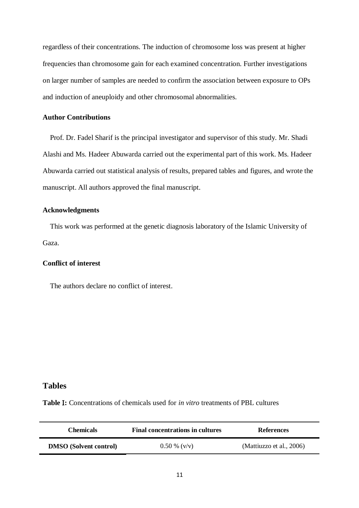regardless of their concentrations. The induction of chromosome loss was present at higher frequencies than chromosome gain for each examined concentration. Further investigations on larger number of samples are needed to confirm the association between exposure to OPs and induction of aneuploidy and other chromosomal abnormalities.

## **Author Contributions**

 Prof. Dr. Fadel Sharif is the principal investigator and supervisor of this study. Mr. Shadi Alashi and Ms. Hadeer Abuwarda carried out the experimental part of this work. Ms. Hadeer Abuwarda carried out statistical analysis of results, prepared tables and figures, and wrote the manuscript. All authors approved the final manuscript.

## **Acknowledgments**

 This work was performed at the genetic diagnosis laboratory of the Islamic University of Gaza.

# **Conflict of interest**

The authors declare no conflict of interest.

# **Tables**

**Table :** Concentrations of chemicals used for *in vitro* treatments of PBL cultures

| <b>Chemicals</b>              | <b>Final concentrations in cultures</b> | <b>References</b>        |  |
|-------------------------------|-----------------------------------------|--------------------------|--|
| <b>DMSO</b> (Solvent control) | $0.50\%$ (y/y)                          | (Mattiuzzo et al., 2006) |  |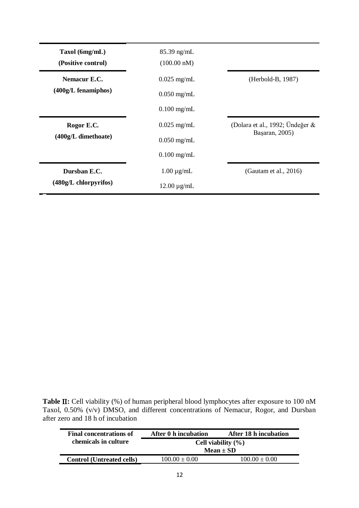| Taxol (6mg/mL)<br>(Positive control) | $85.39$ ng/mL<br>$(100.00 \text{ nM})$ |                                    |
|--------------------------------------|----------------------------------------|------------------------------------|
| Nemacur E.C.                         | $0.025$ mg/mL                          | (Herbold-B, 1987)                  |
| $(400g/L)$ fenamiphos)               | $0.050$ mg/mL                          |                                    |
|                                      | $0.100$ mg/mL                          |                                    |
| Rogor E.C.                           | $0.025$ mg/mL                          | (Dolara et al., 1992; Ündeğer $\&$ |
| (400g/L dimethoate)                  | $0.050$ mg/mL                          | Başaran, 2005)                     |
|                                      | $0.100$ mg/mL                          |                                    |
| Dursban E.C.                         | $1.00 \mu g/mL$                        | (Gautam et al., 2016)              |
| $(480g/L$ chlorpyrifos)              | $12.00 \mu g/mL$                       |                                    |

**Table II:** Cell viability (%) of human peripheral blood lymphocytes after exposure to 100 nM Taxol, 0.50% (v/v) DMSO, and different concentrations of Nemacur, Rogor, and Dursban after zero and 18 h of incubation

| <b>Final concentrations of</b>   | After 0 h incubation   | After 18 h incubation |  |
|----------------------------------|------------------------|-----------------------|--|
| chemicals in culture             | Cell viability $(\% )$ |                       |  |
|                                  | $Mean \pm SD$          |                       |  |
| <b>Control (Untreated cells)</b> | $100.00 \pm 0.00$      | $100.00 \pm 0.00$     |  |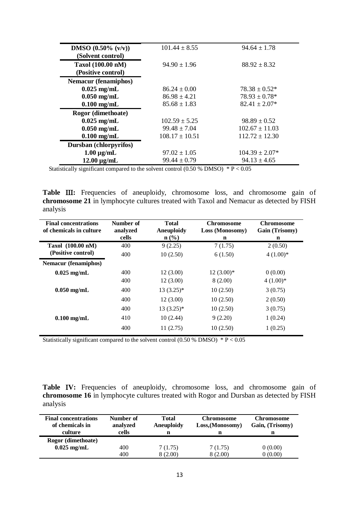| <b>DMSO</b> $(0.50\%$ $(v/v))$<br>(Solvent control) | $101.44 \pm 8.55$  | $94.64 \pm 1.78$   |
|-----------------------------------------------------|--------------------|--------------------|
| Taxol (100.00 nM)<br>(Positive control)             | $94.90 \pm 1.96$   | $88.92 \pm 8.32$   |
| <b>Nemacur</b> (fenamiphos)                         |                    |                    |
| $0.025$ mg/mL                                       | $86.24 \pm 0.00$   | $78.38 \pm 0.52*$  |
| $0.050$ mg/mL                                       | $86.98 \pm 4.21$   | $78.93 \pm 0.78*$  |
| $0.100$ mg/mL                                       | $85.68 \pm 1.83$   | $82.41 \pm 2.07*$  |
| Rogor (dimethoate)                                  |                    |                    |
| $0.025$ mg/mL                                       | $102.59 \pm 5.25$  | $98.89 \pm 0.52$   |
| $0.050$ mg/mL                                       | $99.48 \pm 7.04$   | $102.67 \pm 11.03$ |
| $0.100$ mg/mL                                       | $108.17 \pm 10.51$ | $112.72 \pm 12.30$ |
| Dursban (chlorpyrifos)                              |                    |                    |
| $1.00 \mu g/mL$                                     | $97.02 \pm 1.05$   | $104.39 \pm 2.07*$ |
| $12.00 \mu g/mL$                                    | $99.44 \pm 0.79$   | $94.13 \pm 4.65$   |
|                                                     |                    |                    |

Statistically significant compared to the solvent control (0.50 % DMSO)  $* P < 0.05$ 

Table III: Frequencies of aneuploidy, chromosome loss, and chromosome gain of **chromosome 21** in lymphocyte cultures treated with Taxol and Nemacur as detected by FISH analysis

| <b>Final concentrations</b><br>of chemicals in culture | Number of<br>analyzed | <b>Total</b><br><b>Aneuploidy</b> | <b>Chromosome</b><br>Loss (Monosomy) | <b>Chromosome</b><br>Gain (Trisomy) |
|--------------------------------------------------------|-----------------------|-----------------------------------|--------------------------------------|-------------------------------------|
|                                                        | cells                 | $\mathbf{n}(\%)$                  | n                                    | $\mathbf n$                         |
| Taxol (100.00 nM)                                      | 400                   | 9(2.25)                           | 7(1.75)                              | 2(0.50)                             |
| (Positive control)                                     | 400                   | 10(2.50)                          | 6(1.50)                              | $4(1.00)*$                          |
| <b>Nemacur</b> (fenamiphos)                            |                       |                                   |                                      |                                     |
| $0.025$ mg/mL                                          | 400                   | 12(3.00)                          | $12(3.00)*$                          | 0(0.00)                             |
| $0.050$ mg/mL                                          | 400                   | 12(3.00)                          | 8(2.00)                              | $4(1.00)*$                          |
|                                                        | 400                   | $13(3.25)$ *                      | 10(2.50)                             | 3(0.75)                             |
|                                                        | 400                   | 12(3.00)                          | 10(2.50)                             | 2(0.50)                             |
| $0.100$ mg/mL                                          | 400                   | $13(3.25)^*$                      | 10(2.50)                             | 3(0.75)                             |
|                                                        | 410                   | 10(2.44)                          | 9(2.20)                              | 1(0.24)                             |
|                                                        | 400                   | 11(2.75)                          | 10(2.50)                             | 1(0.25)                             |

Statistically significant compared to the solvent control (0.50 % DMSO)  $* P < 0.05$ 

**Table IV:** Frequencies of aneuploidy, chromosome loss, and chromosome gain of **chromosome 16** in lymphocyte cultures treated with Rogor and Dursban as detected by FISH analysis

| <b>Final concentrations</b><br>of chemicals in<br>culture | Number of<br>analyzed<br>cells | <b>Total</b><br>Aneuploidy<br>n | Chromosome<br>Loss, (Monosomy)<br>n | Chromosome<br>Gain, (Trisomy)<br>n |
|-----------------------------------------------------------|--------------------------------|---------------------------------|-------------------------------------|------------------------------------|
| Rogor (dimethoate)                                        |                                |                                 |                                     |                                    |
| $0.025$ mg/mL                                             | 400                            | 7(1.75)                         | 7(1.75)                             | 0(0.00)                            |
|                                                           | 400                            | 8(2.00)                         | 8(2.00)                             | 0(0.00)                            |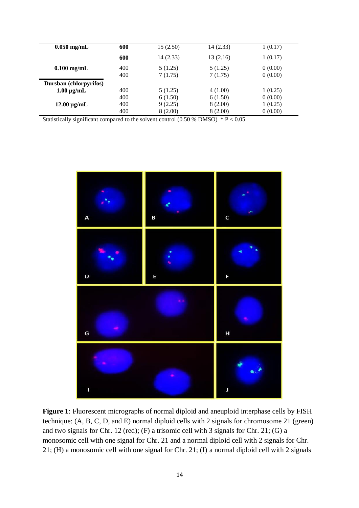| $0.050$ mg/mL          | 600 | 15(2.50)  | 14(2.33) | 1(0.17) |
|------------------------|-----|-----------|----------|---------|
|                        | 600 | 14 (2.33) | 13(2.16) | 1(0.17) |
| $0.100$ mg/mL          | 400 | 5(1.25)   | 5(1.25)  | 0(0.00) |
|                        | 400 | 7(1.75)   | 7(1.75)  | 0(0.00) |
| Dursban (chlorpyrifos) |     |           |          |         |
| $1.00 \mu g/mL$        | 400 | 5(1.25)   | 4(1.00)  | 1(0.25) |
|                        | 400 | 6(1.50)   | 6(1.50)  | 0(0.00) |
| $12.00 \mu g/mL$       | 400 | 9(2.25)   | 8(2.00)  | 1(0.25) |
|                        | 400 | 8(2.00)   | 8(2.00)  | 0(0.00) |

Statistically significant compared to the solvent control (0.50 % DMSO)  $* P < 0.05$ 



**Figure 1**: Fluorescent micrographs of normal diploid and aneuploid interphase cells by FISH technique: (A, B, C, D, and E) normal diploid cells with 2 signals for chromosome 21 (green) and two signals for Chr. 12 (red); (F) a trisomic cell with 3 signals for Chr. 21; (G) a monosomic cell with one signal for Chr. 21 and a normal diploid cell with 2 signals for Chr. 21; (H) a monosomic cell with one signal for Chr. 21; (I) a normal diploid cell with 2 signals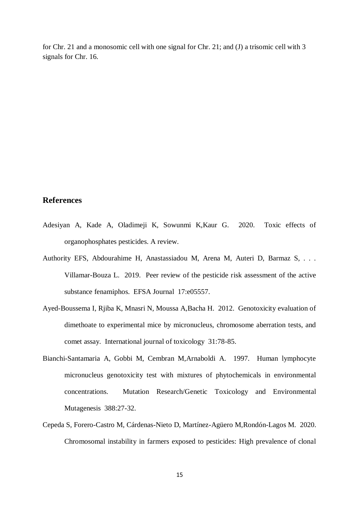for Chr. 21 and a monosomic cell with one signal for Chr. 21; and (J) a trisomic cell with 3 signals for Chr. 16.

# **References**

- <span id="page-14-0"></span>Adesiyan A, Kade A, Oladimeji K, Sowunmi K,Kaur G. 2020. Toxic effects of organophosphates pesticides. A review.
- <span id="page-14-1"></span>Authority EFS, Abdourahime H, Anastassiadou M, Arena M, Auteri D, Barmaz S, . . . Villamar-Bouza L. 2019. Peer review of the pesticide risk assessment of the active substance fenamiphos. EFSA Journal 17:e05557.
- <span id="page-14-3"></span>Ayed-Boussema I, Rjiba K, Mnasri N, Moussa A,Bacha H. 2012. Genotoxicity evaluation of dimethoate to experimental mice by micronucleus, chromosome aberration tests, and comet assay. International journal of toxicology 31:78-85.
- <span id="page-14-2"></span>Bianchi-Santamaria A, Gobbi M, Cembran M,Arnaboldi A. 1997. Human lymphocyte micronucleus genotoxicity test with mixtures of phytochemicals in environmental concentrations. Mutation Research/Genetic Toxicology and Environmental Mutagenesis 388:27-32.
- <span id="page-14-4"></span>Cepeda S, Forero-Castro M, Cárdenas-Nieto D, Martínez-Agüero M,Rondón-Lagos M. 2020. Chromosomal instability in farmers exposed to pesticides: High prevalence of clonal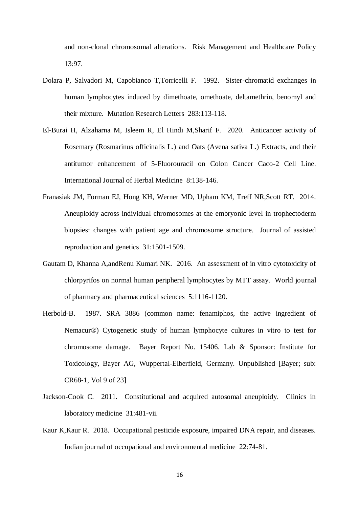and non-clonal chromosomal alterations. Risk Management and Healthcare Policy 13:97.

- <span id="page-15-2"></span>Dolara P, Salvadori M, Capobianco T,Torricelli F. 1992. Sister-chromatid exchanges in human lymphocytes induced by dimethoate, omethoate, deltamethrin, benomyl and their mixture. Mutation Research Letters 283:113-118.
- <span id="page-15-3"></span>El-Burai H, Alzaharna M, Isleem R, El Hindi M,Sharif F. 2020. Anticancer activity of Rosemary (Rosmarinus officinalis L.) and Oats (Avena sativa L.) Extracts, and their antitumor enhancement of 5-Fluorouracil on Colon Cancer Caco-2 Cell Line. International Journal of Herbal Medicine 8:138-146.
- <span id="page-15-5"></span>Franasiak JM, Forman EJ, Hong KH, Werner MD, Upham KM, Treff NR,Scott RT. 2014. Aneuploidy across individual chromosomes at the embryonic level in trophectoderm biopsies: changes with patient age and chromosome structure. Journal of assisted reproduction and genetics 31:1501-1509.
- <span id="page-15-4"></span>Gautam D, Khanna A,andRenu Kumari NK. 2016. An assessment of in vitro cytotoxicity of chlorpyrifos on normal human peripheral lymphocytes by MTT assay. World journal of pharmacy and pharmaceutical sciences 5:1116-1120.
- <span id="page-15-1"></span>Herbold-B. 1987. SRA 3886 (common name: fenamiphos, the active ingredient of Nemacur®) Cytogenetic study of human lymphocyte cultures in vitro to test for chromosome damage. Bayer Report No. 15406. Lab & Sponsor: Institute for Toxicology, Bayer AG, Wuppertal-Elberfield, Germany. Unpublished [Bayer; sub: CR68-1, Vol 9 of 23]
- <span id="page-15-6"></span>Jackson-Cook C. 2011. Constitutional and acquired autosomal aneuploidy. Clinics in laboratory medicine 31:481-vii.
- <span id="page-15-0"></span>Kaur K,Kaur R. 2018. Occupational pesticide exposure, impaired DNA repair, and diseases. Indian journal of occupational and environmental medicine 22:74-81.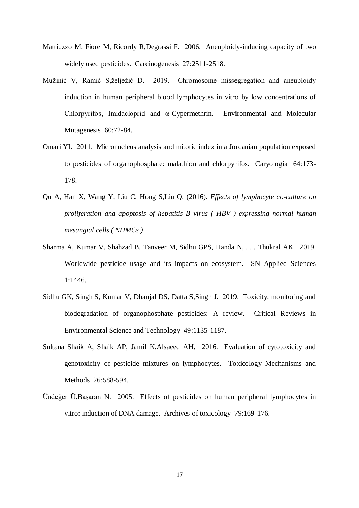- <span id="page-16-6"></span>Mattiuzzo M, Fiore M, Ricordy R,Degrassi F. 2006. Aneuploidy-inducing capacity of two widely used pesticides. Carcinogenesis 27:2511-2518.
- <span id="page-16-0"></span>Mužinić V, Ramić S,želježić D. 2019. Chromosome missegregation and aneuploidy induction in human peripheral blood lymphocytes in vitro by low concentrations of Chlorpyrifos, Imidacloprid and α-Cypermethrin. Environmental and Molecular Mutagenesis 60:72-84.
- <span id="page-16-7"></span>Omari YI. 2011. Micronucleus analysis and mitotic index in a Jordanian population exposed to pesticides of organophosphate: malathion and chlorpyrifos. Caryologia 64:173- 178.
- <span id="page-16-5"></span>Qu A, Han X, Wang Y, Liu C, Hong S,Liu Q. (2016). *Effects of lymphocyte co-culture on proliferation and apoptosis of hepatitis B virus ( HBV )-expressing normal human mesangial cells ( NHMCs )*.
- <span id="page-16-1"></span>Sharma A, Kumar V, Shahzad B, Tanveer M, Sidhu GPS, Handa N, . . . Thukral AK. 2019. Worldwide pesticide usage and its impacts on ecosystem. SN Applied Sciences 1:1446.
- <span id="page-16-2"></span>Sidhu GK, Singh S, Kumar V, Dhanjal DS, Datta S,Singh J. 2019. Toxicity, monitoring and biodegradation of organophosphate pesticides: A review. Critical Reviews in Environmental Science and Technology 49:1135-1187.
- <span id="page-16-4"></span>Sultana Shaik A, Shaik AP, Jamil K,Alsaeed AH. 2016. Evaluation of cytotoxicity and genotoxicity of pesticide mixtures on lymphocytes. Toxicology Mechanisms and Methods 26:588-594.
- <span id="page-16-3"></span>Ündeğer Ü,Başaran N. 2005. Effects of pesticides on human peripheral lymphocytes in vitro: induction of DNA damage. Archives of toxicology 79:169-176.